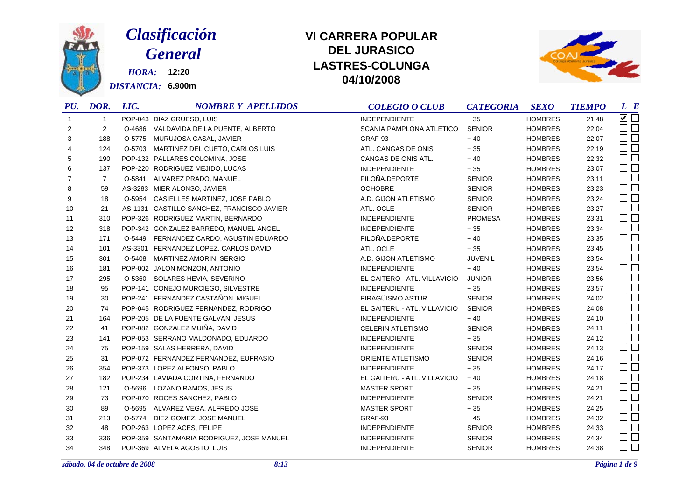

## *Clasificación General*

*HORA:* **12:20** *DISTANCIA:* **6.900m**

## **DEL JURASICOLASTRES-COLUNGA 04/10/2008 VI CARRERA POPULAR**



| PU.            | DOR.           | LIC. | <b>NOMBRE Y APELLIDOS</b>                  | <b>COLEGIO O CLUB</b>        | <b>CATEGORIA</b> | <b>SEXO</b>    | <b>TIEMPO</b> | $L$ $B$                                     |
|----------------|----------------|------|--------------------------------------------|------------------------------|------------------|----------------|---------------|---------------------------------------------|
| $\overline{1}$ | -1             |      | POP-043 DIAZ GRUESO, LUIS                  | <b>INDEPENDIENTE</b>         | $+35$            | <b>HOMBRES</b> | 21:48         | $\overline{\smash{\triangleright} }$ $\Box$ |
| 2              | 2              |      | O-4686 VALDAVIDA DE LA PUENTE, ALBERTO     | SCANIA PAMPLONA ATLETICO     | <b>SENIOR</b>    | <b>HOMBRES</b> | 22:04         | $\Box$ $\Box$                               |
| 3              | 188            |      | O-5775 MURUJOSA CASAL, JAVIER              | GRAF-93                      | $+40$            | <b>HOMBRES</b> | 22:07         | $\square$ $\square$                         |
| 4              | 124            |      | O-5703 MARTINEZ DEL CUETO, CARLOS LUIS     | ATL. CANGAS DE ONIS          | $+35$            | <b>HOMBRES</b> | 22:19         | $\Box$                                      |
| 5              | 190            |      | POP-132 PALLARES COLOMINA, JOSE            | CANGAS DE ONIS ATL.          | $+40$            | <b>HOMBRES</b> | 22:32         | $\square$<br>$\square$                      |
| 6              | 137            |      | POP-220 RODRIGUEZ MEJIDO, LUCAS            | <b>INDEPENDIENTE</b>         | $+35$            | <b>HOMBRES</b> | 23:07         | $\square$<br>$\square$                      |
| 7              | $\overline{7}$ |      | O-5841 ALVAREZ PRADO, MANUEL               | PILOÑA.DEPORTE               | <b>SENIOR</b>    | <b>HOMBRES</b> | 23:11         | $\Box$                                      |
| 8              | 59             |      | AS-3283 MIER ALONSO, JAVIER                | <b>OCHOBRE</b>               | <b>SENIOR</b>    | <b>HOMBRES</b> | 23:23         | $\Box$ $\Box$                               |
| 9              | 18             |      | O-5954 CASIELLES MARTINEZ, JOSE PABLO      | A.D. GIJON ATLETISMO         | <b>SENIOR</b>    | <b>HOMBRES</b> | 23:24         | $\Box$ $\Box$                               |
| 10             | 21             |      | AS-1131 CASTILLO SANCHEZ, FRANCISCO JAVIER | ATL. OCLE                    | <b>SENIOR</b>    | <b>HOMBRES</b> | 23:27         | $\square$ $\square$                         |
| 11             | 310            |      | POP-326 RODRIGUEZ MARTIN, BERNARDO         | <b>INDEPENDIENTE</b>         | <b>PROMESA</b>   | <b>HOMBRES</b> | 23:31         | $\Box$                                      |
| 12             | 318            |      | POP-342 GONZALEZ BARREDO, MANUEL ANGEL     | <b>INDEPENDIENTE</b>         | $+35$            | <b>HOMBRES</b> | 23:34         | $\Box$ $\Box$                               |
| 13             | 171            |      | O-5449 FERNANDEZ CARDO, AGUSTIN EDUARDO    | PILOÑA.DEPORTE               | $+40$            | <b>HOMBRES</b> | 23:35         | $\square$<br>$\square$                      |
| 14             | 101            |      | AS-3301 FERNANDEZ LOPEZ, CARLOS DAVID      | ATL. OCLE                    | $+35$            | <b>HOMBRES</b> | 23:45         | $\Box$                                      |
| 15             | 301            |      | O-5408 MARTINEZ AMORIN, SERGIO             | A.D. GIJON ATLETISMO         | <b>JUVENIL</b>   | <b>HOMBRES</b> | 23:54         | $\square$<br>$\square$                      |
| 16             | 181            |      | POP-002 JALON MONZON, ANTONIO              | <b>INDEPENDIENTE</b>         | $+40$            | <b>HOMBRES</b> | 23:54         | $\square$ $\square$                         |
| 17             | 295            |      | O-5360 SOLARES HEVIA, SEVERINO             | EL GAITERO - ATL. VILLAVICIO | <b>JUNIOR</b>    | <b>HOMBRES</b> | 23:56         | $\square$<br>$\square$                      |
| 18             | 95             |      | POP-141 CONEJO MURCIEGO, SILVESTRE         | <b>INDEPENDIENTE</b>         | $+35$            | <b>HOMBRES</b> | 23:57         | $\Box$ $\Box$                               |
| 19             | 30             |      | POP-241 FERNANDEZ CASTAÑON, MIGUEL         | PIRAGÜISMO ASTUR             | <b>SENIOR</b>    | <b>HOMBRES</b> | 24:02         | $\Box$                                      |
| 20             | 74             |      | POP-045 RODRIGUEZ FERNANDEZ, RODRIGO       | EL GAITERU - ATL. VILLAVICIO | <b>SENIOR</b>    | <b>HOMBRES</b> | 24:08         | $\Box$                                      |
| 21             | 164            |      | POP-205 DE LA FUENTE GALVAN, JESUS         | <b>INDEPENDIENTE</b>         | $+40$            | <b>HOMBRES</b> | 24:10         | $\square$<br>$\square$                      |
| 22             | 41             |      | POP-082 GONZALEZ MUIÑA, DAVID              | <b>CELERIN ATLETISMO</b>     | <b>SENIOR</b>    | <b>HOMBRES</b> | 24:11         | $\square$<br>$\square$                      |
| 23             | 141            |      | POP-053 SERRANO MALDONADO, EDUARDO         | <b>INDEPENDIENTE</b>         | $+35$            | <b>HOMBRES</b> | 24:12         | $\square$ $\square$                         |
| 24             | 75             |      | POP-159 SALAS HERRERA, DAVID               | <b>INDEPENDIENTE</b>         | <b>SENIOR</b>    | <b>HOMBRES</b> | 24:13         | $\square$<br>$\square$                      |
| 25             | 31             |      | POP-072 FERNANDEZ FERNANDEZ, EUFRASIO      | ORIENTE ATLETISMO            | <b>SENIOR</b>    | <b>HOMBRES</b> | 24:16         | $\square$ $\square$                         |
| 26             | 354            |      | POP-373 LOPEZ ALFONSO, PABLO               | <b>INDEPENDIENTE</b>         | $+35$            | <b>HOMBRES</b> | 24:17         | $\square$ $\square$                         |
| 27             | 182            |      | POP-234 LAVIADA CORTINA, FERNANDO          | EL GAITERU - ATL. VILLAVICIO | $+40$            | <b>HOMBRES</b> | 24:18         | $\Box$                                      |
| 28             | 121            |      | O-5696 LOZANO RAMOS, JESUS                 | <b>MASTER SPORT</b>          | $+35$            | <b>HOMBRES</b> | 24:21         | $\Box$                                      |
| 29             | 73             |      | POP-070 ROCES SANCHEZ, PABLO               | <b>INDEPENDIENTE</b>         | <b>SENIOR</b>    | <b>HOMBRES</b> | 24:21         | $\Box$                                      |
| 30             | 89             |      | O-5695 ALVAREZ VEGA, ALFREDO JOSE          | <b>MASTER SPORT</b>          | $+35$            | <b>HOMBRES</b> | 24:25         | $\square$<br>$\square$                      |
| 31             | 213            |      | O-5774 DIEZ GOMEZ, JOSE MANUEL             | GRAF-93                      | $+45$            | <b>HOMBRES</b> | 24:32         | $\Box$                                      |
| 32             | 48             |      | POP-263 LOPEZ ACES, FELIPE                 | <b>INDEPENDIENTE</b>         | <b>SENIOR</b>    | <b>HOMBRES</b> | 24:33         | $\square$                                   |
| 33             | 336            |      | POP-359 SANTAMARIA RODRIGUEZ, JOSE MANUEL  | <b>INDEPENDIENTE</b>         | <b>SENIOR</b>    | <b>HOMBRES</b> | 24:34         | $\square$ $\square$                         |
| 34             | 348            |      | POP-369 ALVELA AGOSTO, LUIS                | <b>INDEPENDIENTE</b>         | <b>SENIOR</b>    | <b>HOMBRES</b> | 24:38         | $\square$ $\square$                         |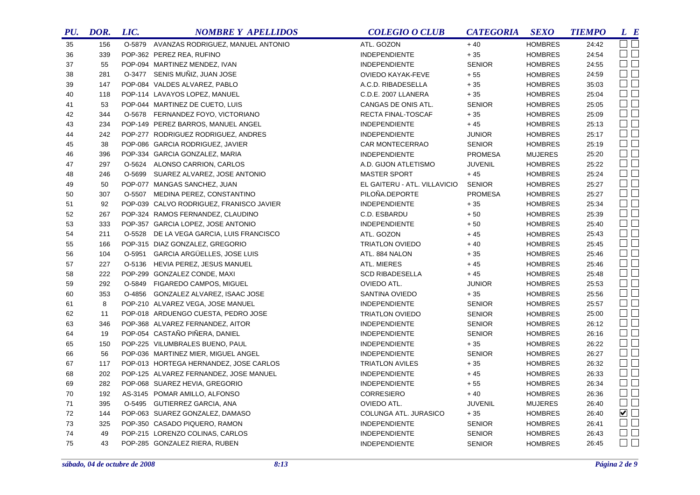| PU. | DOR. | LIC. | <b>NOMBRE Y APELLIDOS</b>                | <b>COLEGIO O CLUB</b>        | <b>CATEGORIA</b> | <b>SEXO</b>    | <b>TIEMPO</b> | $L$ $R$             |
|-----|------|------|------------------------------------------|------------------------------|------------------|----------------|---------------|---------------------|
| 35  | 156  |      | O-5879 AVANZAS RODRIGUEZ, MANUEL ANTONIO | ATL. GOZON                   | $+40$            | <b>HOMBRES</b> | 24:42         | <b>OTE</b>          |
| 36  | 339  |      | POP-362 PEREZ REA, RUFINO                | <b>INDEPENDIENTE</b>         | $+35$            | <b>HOMBRES</b> | 24:54         | $\Box$              |
| 37  | 55   |      | POP-094 MARTINEZ MENDEZ, IVAN            | <b>INDEPENDIENTE</b>         | <b>SENIOR</b>    | <b>HOMBRES</b> | 24:55         | $\Box$              |
| 38  | 281  |      | O-3477 SENIS MUNIZ, JUAN JOSE            | <b>OVIEDO KAYAK-FEVE</b>     | $+55$            | <b>HOMBRES</b> | 24:59         | $\Box$              |
| 39  | 147  |      | POP-084 VALDES ALVAREZ, PABLO            | A.C.D. RIBADESELLA           | $+35$            | <b>HOMBRES</b> | 35:03         | $\square$           |
| 40  | 118  |      | POP-114 LAVAYOS LOPEZ, MANUEL            | C.D.E. 2007 LLANERA          | $+35$            | <b>HOMBRES</b> | 25:04         | $\Box$              |
| 41  | 53   |      | POP-044 MARTINEZ DE CUETO, LUIS          | CANGAS DE ONIS ATL.          | <b>SENIOR</b>    | <b>HOMBRES</b> | 25:05         | $\Box$              |
| 42  | 344  |      | O-5678 FERNANDEZ FOYO, VICTORIANO        | RECTA FINAL-TOSCAF           | $+35$            | <b>HOMBRES</b> | 25:09         | $\square$           |
| 43  | 234  |      | POP-149 PEREZ BARROS, MANUEL ANGEL       | <b>INDEPENDIENTE</b>         | $+45$            | <b>HOMBRES</b> | 25:13         | $\square$           |
| 44  | 242  |      | POP-277 RODRIGUEZ RODRIGUEZ, ANDRES      | <b>INDEPENDIENTE</b>         | <b>JUNIOR</b>    | <b>HOMBRES</b> | 25:17         | $\Box$ $\Box$       |
| 45  | 38   |      | POP-086 GARCIA RODRIGUEZ, JAVIER         | CAR MONTECERRAO              | <b>SENIOR</b>    | <b>HOMBRES</b> | 25:19         | $\Box$              |
| 46  | 396  |      | POP-334 GARCIA GONZALEZ, MARIA           | <b>INDEPENDIENTE</b>         | <b>PROMESA</b>   | <b>MUJERES</b> | 25:20         | $\Box$              |
| 47  | 297  |      | O-5624 ALONSO CARRION, CARLOS            | A.D. GIJON ATLETISMO         | <b>JUVENIL</b>   | <b>HOMBRES</b> | 25:22         | $\Box$              |
| 48  | 246  |      | O-5699 SUAREZ ALVAREZ, JOSE ANTONIO      | <b>MASTER SPORT</b>          | $+45$            | <b>HOMBRES</b> | 25:24         | $\square$           |
| 49  | 50   |      | POP-077 MANGAS SANCHEZ, JUAN             | EL GAITERU - ATL. VILLAVICIO | <b>SENIOR</b>    | <b>HOMBRES</b> | 25:27         | $\square$ $\square$ |
| 50  | 307  |      | O-5507 MEDINA PEREZ, CONSTANTINO         | PILOÑA.DEPORTE               | <b>PROMESA</b>   | <b>HOMBRES</b> | 25:27         | $\Box$              |
| 51  | 92   |      | POP-039 CALVO RODRIGUEZ, FRANISCO JAVIER | <b>INDEPENDIENTE</b>         | $+35$            | <b>HOMBRES</b> | 25:34         | $\square$           |
| 52  | 267  |      | POP-324 RAMOS FERNANDEZ, CLAUDINO        | C.D. ESBARDU                 | $+50$            | <b>HOMBRES</b> | 25:39         | $\Box$              |
| 53  | 333  |      | POP-357 GARCIA LOPEZ, JOSE ANTONIO       | <b>INDEPENDIENTE</b>         | $+50$            | <b>HOMBRES</b> | 25:40         | $\Box$              |
| 54  | 211  |      | O-5528 DE LA VEGA GARCIA, LUIS FRANCISCO | ATL. GOZON                   | $+45$            | <b>HOMBRES</b> | 25:43         | $\square$           |
| 55  | 166  |      | POP-315 DIAZ GONZALEZ, GREGORIO          | <b>TRIATLON OVIEDO</b>       | $+40$            | <b>HOMBRES</b> | 25:45         | $\square$           |
| 56  | 104  |      | O-5951 GARCIA ARGÜELLES, JOSE LUIS       | ATL. 884 NALON               | $+35$            | <b>HOMBRES</b> | 25:46         | $\Box$              |
| 57  | 227  |      | O-5136 HEVIA PEREZ, JESUS MANUEL         | ATL. MIERES                  | $+45$            | <b>HOMBRES</b> | 25:46         | $\square$           |
| 58  | 222  |      | POP-299 GONZALEZ CONDE, MAXI             | <b>SCD RIBADESELLA</b>       | $+45$            | <b>HOMBRES</b> | 25:48         | $\square$           |
| 59  | 292  |      | O-5849 FIGAREDO CAMPOS, MIGUEL           | OVIEDO ATL.                  | <b>JUNIOR</b>    | <b>HOMBRES</b> | 25:53         | $\Box$              |
| 60  | 353  |      | O-4856 GONZALEZ ALVAREZ, ISAAC JOSE      | SANTINA OVIEDO               | $+35$            | <b>HOMBRES</b> | 25:56         | $\square$           |
| 61  | 8    |      | POP-210 ALVAREZ VEGA, JOSE MANUEL        | <b>INDEPENDIENTE</b>         | <b>SENIOR</b>    | <b>HOMBRES</b> | 25:57         | $\Box$ $\Box$       |
| 62  | 11   |      | POP-018 ARDUENGO CUESTA, PEDRO JOSE      | <b>TRIATLON OVIEDO</b>       | <b>SENIOR</b>    | <b>HOMBRES</b> | 25:00         | $\Box$ $\Box$       |
| 63  | 346  |      | POP-368 ALVAREZ FERNANDEZ, AITOR         | <b>INDEPENDIENTE</b>         | <b>SENIOR</b>    | <b>HOMBRES</b> | 26:12         | $\Box$ $\Box$       |
| 64  | 19   |      | POP-054 CASTAÑO PIÑERA, DANIEL           | <b>INDEPENDIENTE</b>         | <b>SENIOR</b>    | <b>HOMBRES</b> | 26:16         | $\Box$              |
| 65  | 150  |      | POP-225 VILUMBRALES BUENO, PAUL          | <b>INDEPENDIENTE</b>         | $+35$            | <b>HOMBRES</b> | 26:22         | $\Box$ $\Box$       |
| 66  | 56   |      | POP-036 MARTINEZ MIER, MIGUEL ANGEL      | <b>INDEPENDIENTE</b>         | <b>SENIOR</b>    | <b>HOMBRES</b> | 26:27         | $\Box$              |
| 67  | 117  |      | POP-013 HORTEGA HERNANDEZ, JOSE CARLOS   | <b>TRIATLON AVILES</b>       | $+35$            | <b>HOMBRES</b> | 26:32         | $\square$ $\square$ |
| 68  | 202  |      | POP-125 ALVAREZ FERNANDEZ, JOSE MANUEL   | <b>INDEPENDIENTE</b>         | $+45$            | <b>HOMBRES</b> | 26:33         | $\Box$              |
| 69  | 282  |      | POP-068 SUAREZ HEVIA, GREGORIO           | <b>INDEPENDIENTE</b>         | $+55$            | <b>HOMBRES</b> | 26:34         | $\Box$              |
| 70  | 192  |      | AS-3145 POMAR AMILLO, ALFONSO            | <b>CORRESIERO</b>            | $+40$            | <b>HOMBRES</b> | 26:36         | $\Box$ $\Box$       |
| 71  | 395  |      | O-5495 GUTIERREZ GARCIA, ANA             | OVIEDO ATL.                  | <b>JUVENIL</b>   | <b>MUJERES</b> | 26:40         | $\Box$              |
| 72  | 144  |      | POP-063 SUAREZ GONZALEZ, DAMASO          | COLUNGA ATL. JURASICO        | $+35$            | <b>HOMBRES</b> | 26:40         | $\blacksquare$      |
| 73  | 325  |      | POP-350 CASADO PIQUERO, RAMON            | <b>INDEPENDIENTE</b>         | <b>SENIOR</b>    | <b>HOMBRES</b> | 26:41         | $\Box$              |
| 74  | 49   |      | POP-215 LORENZO COLINAS, CARLOS          | <b>INDEPENDIENTE</b>         | <b>SENIOR</b>    | <b>HOMBRES</b> | 26:43         | $\Box$              |
| 75  | 43   |      | POP-285 GONZALEZ RIERA, RUBEN            | <b>INDEPENDIENTE</b>         | <b>SENIOR</b>    | <b>HOMBRES</b> | 26:45         | $\square$ $\square$ |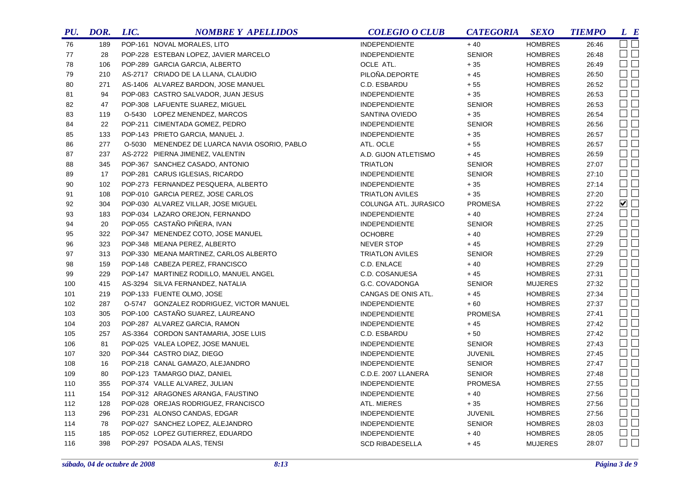| PU. | DOR. | LIC. | <b>NOMBRE Y APELLIDOS</b>                     | <b>COLEGIO O CLUB</b>  | <b>CATEGORIA</b> | <b>SEXO</b>    | <b>TIEMPO</b> | L E                 |
|-----|------|------|-----------------------------------------------|------------------------|------------------|----------------|---------------|---------------------|
| 76  | 189  |      | POP-161 NOVAL MORALES, LITO                   | <b>INDEPENDIENTE</b>   | $+40$            | <b>HOMBRES</b> | 26:46         | <b>und</b>          |
| 77  | 28   |      | POP-228 ESTEBAN LOPEZ, JAVIER MARCELO         | <b>INDEPENDIENTE</b>   | <b>SENIOR</b>    | <b>HOMBRES</b> | 26:48         | $\square$           |
| 78  | 106  |      | POP-289 GARCIA GARCIA, ALBERTO                | OCLE ATL.              | $+35$            | <b>HOMBRES</b> | 26:49         | $\square$ $\square$ |
| 79  | 210  |      | AS-2717 CRIADO DE LA LLANA, CLAUDIO           | PILOÑA.DEPORTE         | $+45$            | <b>HOMBRES</b> | 26:50         | $\Box$ $\Box$       |
| 80  | 271  |      | AS-1406 ALVAREZ BARDON, JOSE MANUEL           | C.D. ESBARDU           | $+55$            | <b>HOMBRES</b> | 26:52         | $\Box$              |
| 81  | 94   |      | POP-083 CASTRO SALVADOR, JUAN JESUS           | <b>INDEPENDIENTE</b>   | $+35$            | <b>HOMBRES</b> | 26:53         | $\Box$              |
| 82  | 47   |      | POP-308 LAFUENTE SUAREZ, MIGUEL               | <b>INDEPENDIENTE</b>   | <b>SENIOR</b>    | <b>HOMBRES</b> | 26:53         | $\Box$              |
| 83  | 119  |      | O-5430 LOPEZ MENENDEZ, MARCOS                 | SANTINA OVIEDO         | $+35$            | <b>HOMBRES</b> | 26:54         | $\square$           |
| 84  | 22   |      | POP-211 CIMENTADA GOMEZ, PEDRO                | <b>INDEPENDIENTE</b>   | <b>SENIOR</b>    | <b>HOMBRES</b> | 26:56         | $\square$           |
| 85  | 133  |      | POP-143 PRIETO GARCIA, MANUEL J.              | <b>INDEPENDIENTE</b>   | $+35$            | <b>HOMBRES</b> | 26:57         | $\Box$              |
| 86  | 277  |      | O-5030 MENENDEZ DE LUARCA NAVIA OSORIO, PABLO | ATL. OCLE              | $+55$            | <b>HOMBRES</b> | 26:57         | $\Box$              |
| 87  | 237  |      | AS-2722 PIERNA JIMENEZ, VALENTIN              | A.D. GIJON ATLETISMO   | $+45$            | <b>HOMBRES</b> | 26:59         | $\Box$              |
| 88  | 345  |      | POP-367 SANCHEZ CASADO, ANTONIO               | <b>TRIATLON</b>        | <b>SENIOR</b>    | <b>HOMBRES</b> | 27:07         | $\square$           |
| 89  | 17   |      | POP-281 CARUS IGLESIAS, RICARDO               | <b>INDEPENDIENTE</b>   | <b>SENIOR</b>    | <b>HOMBRES</b> | 27:10         | $\Box$              |
| 90  | 102  |      | POP-273 FERNANDEZ PESQUERA, ALBERTO           | <b>INDEPENDIENTE</b>   | $+35$            | <b>HOMBRES</b> | 27:14         | $\Box$              |
| 91  | 108  |      | POP-010 GARCIA PEREZ, JOSE CARLOS             | <b>TRIATLON AVILES</b> | $+35$            | <b>HOMBRES</b> | 27:20         | $\square$           |
| 92  | 304  |      | POP-030 ALVAREZ VILLAR, JOSE MIGUEL           | COLUNGA ATL. JURASICO  | <b>PROMESA</b>   | <b>HOMBRES</b> | 27:22         | $\blacksquare$      |
| 93  | 183  |      | POP-034 LAZARO OREJON, FERNANDO               | <b>INDEPENDIENTE</b>   | $+40$            | <b>HOMBRES</b> | 27:24         | $\square$           |
| 94  | 20   |      | POP-055 CASTAÑO PIÑERA, IVAN                  | <b>INDEPENDIENTE</b>   | <b>SENIOR</b>    | <b>HOMBRES</b> | 27:25         | $\Box$              |
| 95  | 322  |      | POP-347 MENENDEZ COTO, JOSE MANUEL            | <b>OCHOBRE</b>         | $+40$            | <b>HOMBRES</b> | 27:29         | $\Box$              |
| 96  | 323  |      | POP-348 MEANA PEREZ, ALBERTO                  | <b>NEVER STOP</b>      | $+45$            | <b>HOMBRES</b> | 27:29         | $\square$ $\square$ |
| 97  | 313  |      | POP-330 MEANA MARTINEZ, CARLOS ALBERTO        | <b>TRIATLON AVILES</b> | <b>SENIOR</b>    | <b>HOMBRES</b> | 27:29         | $\square$           |
| 98  | 159  |      | POP-148 CABEZA PEREZ, FRANCISCO               | C.D. ENLACE            | $+40$            | <b>HOMBRES</b> | 27:29         | $\square$           |
| 99  | 229  |      | POP-147 MARTINEZ RODILLO, MANUEL ANGEL        | C.D. COSANUESA         | $+45$            | <b>HOMBRES</b> | 27:31         | $\Box$ $\Box$       |
| 100 | 415  |      | AS-3294 SILVA FERNANDEZ, NATALIA              | G.C. COVADONGA         | <b>SENIOR</b>    | <b>MUJERES</b> | 27:32         | $\square$           |
| 101 | 219  |      | POP-133 FUENTE OLMO, JOSE                     | CANGAS DE ONIS ATL.    | $+45$            | <b>HOMBRES</b> | 27:34         | $\square$           |
| 102 | 287  |      | O-5747 GONZALEZ RODRIGUEZ, VICTOR MANUEL      | <b>INDEPENDIENTE</b>   | $+60$            | <b>HOMBRES</b> | 27:37         | $\Box$              |
| 103 | 305  |      | POP-100 CASTAÑO SUAREZ, LAUREANO              | <b>INDEPENDIENTE</b>   | <b>PROMESA</b>   | <b>HOMBRES</b> | 27:41         | $\Box$              |
| 104 | 203  |      | POP-287 ALVAREZ GARCIA, RAMON                 | <b>INDEPENDIENTE</b>   | $+45$            | <b>HOMBRES</b> | 27:42         | $\square$           |
| 105 | 257  |      | AS-3364 CORDON SANTAMARIA, JOSE LUIS          | C.D. ESBARDU           | $+50$            | <b>HOMBRES</b> | 27:42         | $\Box$              |
| 106 | 81   |      | POP-025 VALEA LOPEZ, JOSE MANUEL              | <b>INDEPENDIENTE</b>   | <b>SENIOR</b>    | <b>HOMBRES</b> | 27:43         | $\Box$ $\Box$       |
| 107 | 320  |      | POP-344 CASTRO DIAZ, DIEGO                    | <b>INDEPENDIENTE</b>   | <b>JUVENIL</b>   | <b>HOMBRES</b> | 27:45         | $\Box$              |
| 108 | 16   |      | POP-218 CANAL GAMAZO, ALEJANDRO               | <b>INDEPENDIENTE</b>   | <b>SENIOR</b>    | <b>HOMBRES</b> | 27:47         | $\Box$              |
| 109 | 80   |      | POP-123 TAMARGO DIAZ, DANIEL                  | C.D.E. 2007 LLANERA    | <b>SENIOR</b>    | <b>HOMBRES</b> | 27:48         | $\Box$              |
| 110 | 355  |      | POP-374 VALLE ALVAREZ, JULIAN                 | <b>INDEPENDIENTE</b>   | <b>PROMESA</b>   | <b>HOMBRES</b> | 27:55         | $\Box$              |
| 111 | 154  |      | POP-312 ARAGONES ARANGA, FAUSTINO             | <b>INDEPENDIENTE</b>   | $+40$            | <b>HOMBRES</b> | 27:56         | $\Box$              |
| 112 | 128  |      | POP-028 OREJAS RODRIGUEZ, FRANCISCO           | ATL. MIERES            | $+35$            | <b>HOMBRES</b> | 27:56         | $\Box$ $\Box$       |
| 113 | 296  |      | POP-231 ALONSO CANDAS, EDGAR                  | <b>INDEPENDIENTE</b>   | <b>JUVENIL</b>   | <b>HOMBRES</b> | 27:56         | $\Box$              |
| 114 | 78   |      | POP-027 SANCHEZ LOPEZ, ALEJANDRO              | <b>INDEPENDIENTE</b>   | <b>SENIOR</b>    | <b>HOMBRES</b> | 28:03         | $\Box$              |
| 115 | 185  |      | POP-052 LOPEZ GUTIERREZ, EDUARDO              | <b>INDEPENDIENTE</b>   | $+40$            | <b>HOMBRES</b> | 28:05         | $\Box$              |
| 116 | 398  |      | POP-297 POSADA ALAS, TENSI                    | <b>SCD RIBADESELLA</b> | $+45$            | <b>MUJERES</b> | 28:07         | $\square$ $\square$ |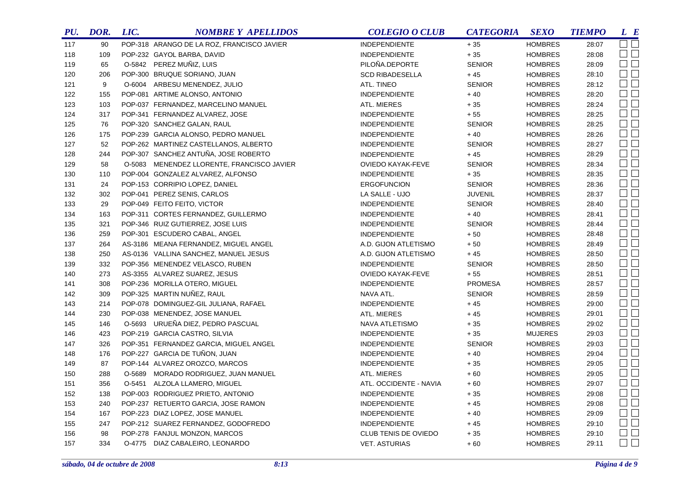| PU. | DOR. | LIC. | <b>NOMBRE Y APELLIDOS</b>                  | <b>COLEGIO O CLUB</b>  | <b>CATEGORIA</b> | <b>SEXO</b>    | <b>TIEMPO</b> | L E                 |
|-----|------|------|--------------------------------------------|------------------------|------------------|----------------|---------------|---------------------|
| 117 | 90   |      | POP-318 ARANGO DE LA ROZ, FRANCISCO JAVIER | <b>INDEPENDIENTE</b>   | $+35$            | <b>HOMBRES</b> | 28:07         | $\Box$ $\Box$       |
| 118 | 109  |      | POP-232 GAYOL BARBA, DAVID                 | <b>INDEPENDIENTE</b>   | $+35$            | <b>HOMBRES</b> | 28:08         | $\square$           |
| 119 | 65   |      | O-5842 PEREZ MUÑIZ, LUIS                   | PILOÑA.DEPORTE         | <b>SENIOR</b>    | <b>HOMBRES</b> | 28:09         | $\square$           |
| 120 | 206  |      | POP-300 BRUQUE SORIANO, JUAN               | <b>SCD RIBADESELLA</b> | $+45$            | <b>HOMBRES</b> | 28:10         | $\square$           |
| 121 | 9    |      | O-6004 ARBESU MENENDEZ, JULIO              | ATL. TINEO             | <b>SENIOR</b>    | <b>HOMBRES</b> | 28:12         | $\square$           |
| 122 | 155  |      | POP-081 ARTIME ALONSO, ANTONIO             | <b>INDEPENDIENTE</b>   | $+40$            | <b>HOMBRES</b> | 28:20         | $\square$           |
| 123 | 103  |      | POP-037 FERNANDEZ, MARCELINO MANUEL        | ATL. MIERES            | $+35$            | <b>HOMBRES</b> | 28:24         | $\square$           |
| 124 | 317  |      | POP-341 FERNANDEZ ALVAREZ, JOSE            | <b>INDEPENDIENTE</b>   | $+55$            | <b>HOMBRES</b> | 28:25         | $\square$           |
| 125 | 76   |      | POP-320 SANCHEZ GALAN, RAUL                | <b>INDEPENDIENTE</b>   | <b>SENIOR</b>    | <b>HOMBRES</b> | 28:25         | $\square$           |
| 126 | 175  |      | POP-239 GARCIA ALONSO, PEDRO MANUEL        | <b>INDEPENDIENTE</b>   | $+40$            | <b>HOMBRES</b> | 28:26         | $\square$           |
| 127 | 52   |      | POP-262 MARTINEZ CASTELLANOS, ALBERTO      | <b>INDEPENDIENTE</b>   | <b>SENIOR</b>    | <b>HOMBRES</b> | 28:27         | $\square$           |
| 128 | 244  |      | POP-307 SANCHEZ ANTUÑA, JOSE ROBERTO       | <b>INDEPENDIENTE</b>   | $+45$            | <b>HOMBRES</b> | 28:29         | $\square$           |
| 129 | 58   |      | O-5083 MENENDEZ LLORENTE, FRANCISCO JAVIER | OVIEDO KAYAK-FEVE      | <b>SENIOR</b>    | <b>HOMBRES</b> | 28:34         | $\square$           |
| 130 | 110  |      | POP-004 GONZALEZ ALVAREZ, ALFONSO          | <b>INDEPENDIENTE</b>   | $+35$            | <b>HOMBRES</b> | 28:35         | $\square$           |
| 131 | 24   |      | POP-153 CORRIPIO LOPEZ, DANIEL             | <b>ERGOFUNCION</b>     | <b>SENIOR</b>    | <b>HOMBRES</b> | 28:36         | $\square$           |
| 132 | 302  |      | POP-041 PEREZ SENIS, CARLOS                | LA SALLE - UJO         | <b>JUVENIL</b>   | <b>HOMBRES</b> | 28:37         | $\square$           |
| 133 | 29   |      | POP-049 FEITO FEITO, VICTOR                | <b>INDEPENDIENTE</b>   | <b>SENIOR</b>    | <b>HOMBRES</b> | 28:40         | $\square$           |
| 134 | 163  |      | POP-311 CORTES FERNANDEZ, GUILLERMO        | <b>INDEPENDIENTE</b>   | $+40$            | <b>HOMBRES</b> | 28:41         | $\square$           |
| 135 | 321  |      | POP-346 RUIZ GUTIERREZ, JOSE LUIS          | <b>INDEPENDIENTE</b>   | <b>SENIOR</b>    | <b>HOMBRES</b> | 28:44         | $\Box$ $\Box$       |
| 136 | 259  |      | POP-301 ESCUDERO CABAL, ANGEL              | <b>INDEPENDIENTE</b>   | $+50$            | <b>HOMBRES</b> | 28:48         | $\square$           |
| 137 | 264  |      | AS-3186 MEANA FERNANDEZ, MIGUEL ANGEL      | A.D. GIJON ATLETISMO   | $+50$            | <b>HOMBRES</b> | 28:49         | $\square$           |
| 138 | 250  |      | AS-0136 VALLINA SANCHEZ, MANUEL JESUS      | A.D. GIJON ATLETISMO   | $+45$            | <b>HOMBRES</b> | 28:50         | $\square$           |
| 139 | 332  |      | POP-356 MENENDEZ VELASCO, RUBEN            | <b>INDEPENDIENTE</b>   | <b>SENIOR</b>    | <b>HOMBRES</b> | 28:50         | $\Box$ $\Box$       |
| 140 | 273  |      | AS-3355 ALVAREZ SUAREZ, JESUS              | OVIEDO KAYAK-FEVE      | $+55$            | <b>HOMBRES</b> | 28:51         | $\square$ $\square$ |
| 141 | 308  |      | POP-236 MORILLA OTERO, MIGUEL              | <b>INDEPENDIENTE</b>   | <b>PROMESA</b>   | <b>HOMBRES</b> | 28:57         | $\square$           |
| 142 | 309  |      | POP-325 MARTIN NUÑEZ, RAUL                 | NAVA ATL.              | <b>SENIOR</b>    | <b>HOMBRES</b> | 28:59         | $\Box$ $\Box$       |
| 143 | 214  |      | POP-078 DOMINGUEZ-GIL JULIANA, RAFAEL      | <b>INDEPENDIENTE</b>   | $+45$            | <b>HOMBRES</b> | 29:00         | $\Box$ $\Box$       |
| 144 | 230  |      | POP-038 MENENDEZ, JOSE MANUEL              | <b>ATL. MIERES</b>     | $+45$            | <b>HOMBRES</b> | 29:01         | $\Box$ $\Box$       |
| 145 | 146  |      | O-5693 URUEÑA DIEZ, PEDRO PASCUAL          | NAVA ATLETISMO         | $+35$            | <b>HOMBRES</b> | 29:02         | $\Box$ $\Box$       |
| 146 | 423  |      | POP-219 GARCIA CASTRO, SILVIA              | <b>INDEPENDIENTE</b>   | $+35$            | <b>MUJERES</b> | 29:03         | $\Box$ $\Box$       |
| 147 | 326  |      | POP-351 FERNANDEZ GARCIA, MIGUEL ANGEL     | <b>INDEPENDIENTE</b>   | <b>SENIOR</b>    | <b>HOMBRES</b> | 29:03         | $\square$           |
| 148 | 176  |      | POP-227 GARCIA DE TUÑON, JUAN              | <b>INDEPENDIENTE</b>   | $+40$            | <b>HOMBRES</b> | 29:04         | $\square$           |
| 149 | 87   |      | POP-144 ALVAREZ OROZCO, MARCOS             | <b>INDEPENDIENTE</b>   | $+35$            | <b>HOMBRES</b> | 29:05         | $\square$           |
| 150 | 288  |      | O-5689 MORADO RODRIGUEZ, JUAN MANUEL       | ATL. MIERES            | $+60$            | <b>HOMBRES</b> | 29:05         | $\square$           |
| 151 | 356  |      | O-5451 ALZOLA LLAMERO, MIGUEL              | ATL. OCCIDENTE - NAVIA | $+60$            | <b>HOMBRES</b> | 29:07         | $\Box$ $\Box$       |
| 152 | 138  |      | POP-003 RODRIGUEZ PRIETO, ANTONIO          | <b>INDEPENDIENTE</b>   | $+35$            | <b>HOMBRES</b> | 29:08         | $\Box$ $\Box$       |
| 153 | 240  |      | POP-237 RETUERTO GARCIA, JOSE RAMON        | <b>INDEPENDIENTE</b>   | $+45$            | <b>HOMBRES</b> | 29:08         | $\Box$ $\Box$       |
| 154 | 167  |      | POP-223 DIAZ LOPEZ, JOSE MANUEL            | <b>INDEPENDIENTE</b>   | $+40$            | <b>HOMBRES</b> | 29:09         | $\Box$ $\Box$       |
| 155 | 247  |      | POP-212 SUAREZ FERNANDEZ, GODOFREDO        | <b>INDEPENDIENTE</b>   | $+45$            | <b>HOMBRES</b> | 29:10         | $\Box$ $\Box$       |
| 156 | 98   |      | POP-278 FANJUL MONZON, MARCOS              | CLUB TENIS DE OVIEDO   | $+35$            | <b>HOMBRES</b> | 29:10         | $\square$ $\square$ |
| 157 | 334  |      | O-4775 DIAZ CABALEIRO, LEONARDO            | <b>VET. ASTURIAS</b>   | $+60$            | <b>HOMBRES</b> | 29:11         | $\Box$              |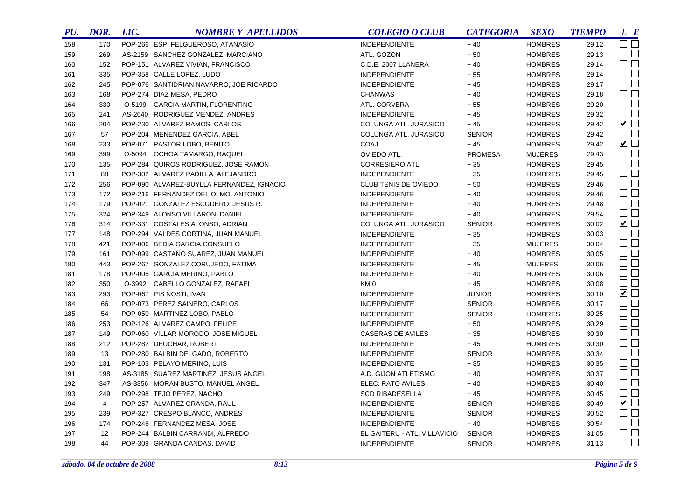| PU. | DOR.           | LIC. | <b>NOMBRE Y APELLIDOS</b>                 | <b>COLEGIO O CLUB</b>        | <b>CATEGORIA</b> | <b>SEXO</b>    | <b>TIEMPO</b> | L E                         |
|-----|----------------|------|-------------------------------------------|------------------------------|------------------|----------------|---------------|-----------------------------|
| 158 | 170            |      | POP-266 ESPI FELGUEROSO, ATANASIO         | <b>INDEPENDIENTE</b>         | $+40$            | <b>HOMBRES</b> | 29:12         | $\square$ $\square$         |
| 159 | 269            |      | AS-2159 SANCHEZ GONZALEZ, MARCIANO        | ATL. GOZON                   | $+\,50$          | <b>HOMBRES</b> | 29:13         | $\square$ $\square$         |
| 160 | 152            |      | POP-151 ALVAREZ VIVIAN, FRANCISCO         | C.D.E. 2007 LLANERA          | $+40$            | <b>HOMBRES</b> | 29:14         | $\square$ $\square$         |
| 161 | 335            |      | POP-358 CALLE LOPEZ, LUDO                 | <b>INDEPENDIENTE</b>         | $+55$            | <b>HOMBRES</b> | 29:14         | $\Box$                      |
| 162 | 245            |      | POP-076 SANTIDRIAN NAVARRO, JOE RICARDO   | <b>INDEPENDIENTE</b>         | $+45$            | <b>HOMBRES</b> | 29:17         | $\Box$                      |
| 163 | 168            |      | POP-274 DIAZ MESA, PEDRO                  | <b>CHANWAS</b>               | $+40$            | <b>HOMBRES</b> | 29:18         | $\Box$                      |
| 164 | 330            |      | O-5199 GARCIA MARTIN, FLORENTINO          | ATL. CORVERA                 | $+55$            | <b>HOMBRES</b> | 29:20         | $\Box$ $\Box$               |
| 165 | 241            |      | AS-2640 RODRIGUEZ MENDEZ, ANDRES          | <b>INDEPENDIENTE</b>         | $+45$            | <b>HOMBRES</b> | 29:32         | $\Box$                      |
| 166 | 204            |      | POP-230 ALVAREZ RAMOS, CARLOS             | COLUNGA ATL. JURASICO        | $+45$            | <b>HOMBRES</b> | 29:42         | $\blacktriangledown$        |
| 167 | 57             |      | POP-204 MENENDEZ GARCIA, ABEL             | COLUNGA ATL. JURASICO        | <b>SENIOR</b>    | <b>HOMBRES</b> | 29:42         | $\square$<br>$\square$      |
| 168 | 233            |      | POP-071 PASTOR LOBO, BENITO               | <b>COAJ</b>                  | $+45$            | <b>HOMBRES</b> | 29:42         | $\blacktriangledown$ $\Box$ |
| 169 | 399            |      | O-5094 OCHOA TAMARGO, RAQUEL              | OVIEDO ATL.                  | <b>PROMESA</b>   | <b>MUJERES</b> | 29:43         | $\square$ $\square$         |
| 170 | 135            |      | POP-284 QUIROS RODRIGUEZ, JOSE RAMON      | CORRESIERO ATL.              | $+35$            | <b>HOMBRES</b> | 29:45         | $\Box$                      |
| 171 | 88             |      | POP-302 ALVAREZ PADILLA, ALEJANDRO        | <b>INDEPENDIENTE</b>         | $+35$            | <b>HOMBRES</b> | 29:45         | $\square$<br>$\square$      |
| 172 | 256            |      | POP-090 ALVAREZ-BUYLLA FERNANDEZ, IGNACIO | CLUB TENIS DE OVIEDO         | $+50$            | <b>HOMBRES</b> | 29:46         | $\Box$                      |
| 173 | 172            |      | POP-216 FERNANDEZ DEL OLMO, ANTONIO       | <b>INDEPENDIENTE</b>         | $+40$            | <b>HOMBRES</b> | 29:46         | $\Box$ $\Box$               |
| 174 | 179            |      | POP-021 GONZALEZ ESCUDERO, JESUS R.       | <b>INDEPENDIENTE</b>         | $+40$            | <b>HOMBRES</b> | 29:48         | $\Box$                      |
| 175 | 324            |      | POP-349 ALONSO VILLARON, DANIEL           | <b>INDEPENDIENTE</b>         | $+40$            | <b>HOMBRES</b> | 29:54         | $\Box$                      |
| 176 | 314            |      | POP-331 COSTALES ALONSO, ADRIAN           | COLUNGA ATL. JURASICO        | <b>SENIOR</b>    | <b>HOMBRES</b> | 30:02         | ☑□                          |
| 177 | 148            |      | POP-294 VALDES CORTINA, JUAN MANUEL       | INDEPENDIENTE                | $+35$            | <b>HOMBRES</b> | 30:03         | $\square$<br>$\square$      |
| 178 | 421            |      | POP-006 BEDIA GARCIA, CONSUELO            | <b>INDEPENDIENTE</b>         | $+35$            | <b>MUJERES</b> | 30:04         | $\Box$ $\Box$               |
| 179 | 161            |      | POP-099 CASTAÑO SUAREZ, JUAN MANUEL       | <b>INDEPENDIENTE</b>         | $+40$            | <b>HOMBRES</b> | 30:05         | $\Box$                      |
| 180 | 443            |      | POP-267 GONZALEZ CORUJEDO, FATIMA         | <b>INDEPENDIENTE</b>         | $+45$            | <b>MUJERES</b> | 30:06         | $\Box$ $\Box$               |
| 181 | 178            |      | POP-005 GARCIA MERINO, PABLO              | <b>INDEPENDIENTE</b>         | $+40$            | <b>HOMBRES</b> | 30:06         | $\square$ $\square$         |
| 182 | 350            |      | O-3992 CABELLO GONZALEZ, RAFAEL           | KM <sub>0</sub>              | $+45$            | <b>HOMBRES</b> | 30:08         | $\Box$ $\Box$               |
| 183 | 293            |      | POP-067 PIS NOSTI, IVAN                   | <b>INDEPENDIENTE</b>         | <b>JUNIOR</b>    | <b>HOMBRES</b> | 30:10         | $\blacktriangledown$ $\Box$ |
| 184 | 66             |      | POP-073 PEREZ SAINERO, CARLOS             | <b>INDEPENDIENTE</b>         | <b>SENIOR</b>    | <b>HOMBRES</b> | 30:17         | $\Box$                      |
| 185 | 54             |      | POP-050 MARTINEZ LOBO, PABLO              | <b>INDEPENDIENTE</b>         | <b>SENIOR</b>    | <b>HOMBRES</b> | 30:25         | $\square$ $\square$         |
| 186 | 253            |      | POP-126 ALVAREZ CAMPO, FELIPE             | <b>INDEPENDIENTE</b>         | $+50$            | <b>HOMBRES</b> | 30:29         | $\Box$ $\Box$               |
| 187 | 149            |      | POP-060 VILLAR MORODO, JOSE MIGUEL        | CASERAS DE AVILES            | $+35$            | <b>HOMBRES</b> | 30:30         | $\square$ $\square$         |
| 188 | 212            |      | POP-282 DEUCHAR, ROBERT                   | <b>INDEPENDIENTE</b>         | $+45$            | <b>HOMBRES</b> | 30:30         | $\Box$ $\Box$               |
| 189 | 13             |      | POP-280 BALBIN DELGADO, ROBERTO           | <b>INDEPENDIENTE</b>         | <b>SENIOR</b>    | <b>HOMBRES</b> | 30:34         | $\Box$ $\Box$               |
| 190 | 131            |      | POP-103 PELAYO MERINO, LUIS               | <b>INDEPENDIENTE</b>         | $+35$            | <b>HOMBRES</b> | 30:35         | $\Box$ $\Box$               |
| 191 | 198            |      | AS-3185 SUAREZ MARTINEZ, JESUS ANGEL      | A.D. GIJON ATLETISMO         | $+40$            | <b>HOMBRES</b> | 30:37         | $\Box$ $\Box$               |
| 192 | 347            |      | AS-3356 MORAN BUSTO, MANUEL ANGEL         | ELEC. RATO AVILES            | $+40$            | <b>HOMBRES</b> | 30:40         | $\Box$ $\Box$               |
| 193 | 249            |      | POP-298 TEJO PEREZ, NACHO                 | <b>SCD RIBADESELLA</b>       | $+45$            | <b>HOMBRES</b> | 30:45         | $\Box$ $\Box$               |
| 194 | $\overline{4}$ |      | POP-257 ALVAREZ GRANDA, RAUL              | <b>INDEPENDIENTE</b>         | <b>SENIOR</b>    | <b>HOMBRES</b> | 30:49         | $\blacktriangledown$        |
| 195 | 239            |      | POP-327 CRESPO BLANCO, ANDRES             | <b>INDEPENDIENTE</b>         | <b>SENIOR</b>    | <b>HOMBRES</b> | 30:52         | $\Box$ $\Box$               |
| 196 | 174            |      | POP-246 FERNANDEZ MESA, JOSE              | <b>INDEPENDIENTE</b>         | $+40$            | <b>HOMBRES</b> | 30:54         | $\square$ $\square$         |
| 197 | 12             |      | POP-244 BALBIN CARRANDI, ALFREDO          | EL GAITERU - ATL. VILLAVICIO | <b>SENIOR</b>    | <b>HOMBRES</b> | 31:05         | $\Box$ $\Box$               |
| 198 | 44             |      | POP-309 GRANDA CANDAS, DAVID              | <b>INDEPENDIENTE</b>         | <b>SENIOR</b>    | <b>HOMBRES</b> | 31:13         | $\Box$ $\Box$               |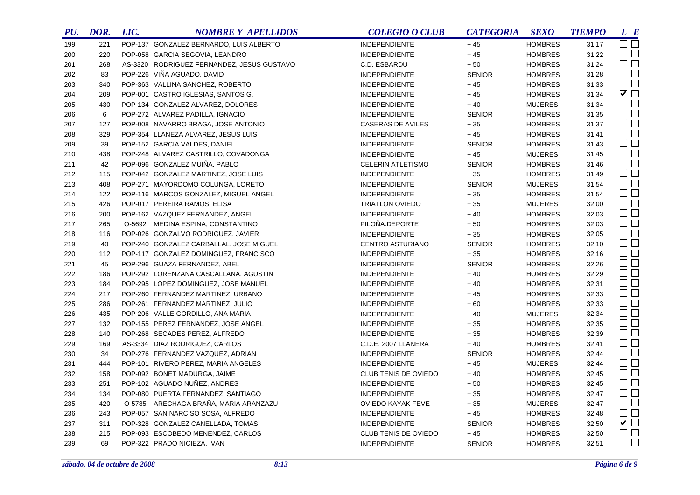| PU. | DOR. | LIC. | <b>NOMBRE Y APELLIDOS</b>                  | <b>COLEGIO O CLUB</b>    | <b>CATEGORIA</b> | <b>SEXO</b>    | <b>TIEMPO</b> | L E                    |
|-----|------|------|--------------------------------------------|--------------------------|------------------|----------------|---------------|------------------------|
| 199 | 221  |      | POP-137 GONZALEZ BERNARDO, LUIS ALBERTO    | <b>INDEPENDIENTE</b>     | $+45$            | <b>HOMBRES</b> | 31:17         | $\square$ $\square$    |
| 200 | 220  |      | POP-058 GARCIA SEGOVIA, LEANDRO            | <b>INDEPENDIENTE</b>     | $+45$            | <b>HOMBRES</b> | 31:22         | $\square$ $\square$    |
| 201 | 268  |      | AS-3320 RODRIGUEZ FERNANDEZ, JESUS GUSTAVO | C.D. ESBARDU             | $+50$            | <b>HOMBRES</b> | 31:24         | $\square$ $\square$    |
| 202 | 83   |      | POP-226 VIÑA AGUADO, DAVID                 | <b>INDEPENDIENTE</b>     | <b>SENIOR</b>    | <b>HOMBRES</b> | 31:28         | $\Box$ $\Box$          |
| 203 | 340  |      | POP-363 VALLINA SANCHEZ, ROBERTO           | <b>INDEPENDIENTE</b>     | $+45$            | <b>HOMBRES</b> | 31:33         | $\square$              |
| 204 | 209  |      | POP-001 CASTRO IGLESIAS, SANTOS G.         | <b>INDEPENDIENTE</b>     | $+45$            | <b>HOMBRES</b> | 31:34         | $\blacktriangledown$   |
| 205 | 430  |      | POP-134 GONZALEZ ALVAREZ, DOLORES          | INDEPENDIENTE            | $+40$            | <b>MUJERES</b> | 31:34         | $\square$ $\square$    |
| 206 | 6    |      | POP-272 ALVAREZ PADILLA, IGNACIO           | <b>INDEPENDIENTE</b>     | <b>SENIOR</b>    | <b>HOMBRES</b> | 31:35         | $\square$              |
| 207 | 127  |      | POP-008 NAVARRO BRAGA, JOSE ANTONIO        | CASERAS DE AVILES        | $+35$            | <b>HOMBRES</b> | 31:37         | $\Box$                 |
| 208 | 329  |      | POP-354 LLANEZA ALVAREZ, JESUS LUIS        | <b>INDEPENDIENTE</b>     | $+45$            | <b>HOMBRES</b> | 31:41         | $\square$ $\square$    |
| 209 | 39   |      | POP-152 GARCIA VALDES, DANIEL              | <b>INDEPENDIENTE</b>     | <b>SENIOR</b>    | <b>HOMBRES</b> | 31:43         | $\square$<br>$\square$ |
| 210 | 438  |      | POP-248 ALVAREZ CASTRILLO, COVADONGA       | <b>INDEPENDIENTE</b>     | $+45$            | <b>MUJERES</b> | 31:45         | $\square$ $\square$    |
| 211 | 42   |      | POP-096 GONZALEZ MUIÑA, PABLO              | <b>CELERIN ATLETISMO</b> | <b>SENIOR</b>    | <b>HOMBRES</b> | 31:46         | $\Box$                 |
| 212 | 115  |      | POP-042 GONZALEZ MARTINEZ, JOSE LUIS       | <b>INDEPENDIENTE</b>     | $+35$            | <b>HOMBRES</b> | 31:49         | $\Box$ $\Box$          |
| 213 | 408  |      | POP-271 MAYORDOMO COLUNGA, LORETO          | <b>INDEPENDIENTE</b>     | <b>SENIOR</b>    | <b>MUJERES</b> | 31:54         | $\Box$                 |
| 214 | 122  |      | POP-116 MARCOS GONZALEZ, MIGUEL ANGEL      | <b>INDEPENDIENTE</b>     | $+35$            | <b>HOMBRES</b> | 31:54         | $\Box$                 |
| 215 | 426  |      | POP-017 PEREIRA RAMOS, ELISA               | <b>TRIATLON OVIEDO</b>   | $+35$            | <b>MUJERES</b> | 32:00         | $\Box$ $\Box$          |
| 216 | 200  |      | POP-162 VAZQUEZ FERNANDEZ, ANGEL           | INDEPENDIENTE            | $+40$            | <b>HOMBRES</b> | 32:03         | $\Box$ $\Box$          |
| 217 | 265  |      | O-5692 MEDINA ESPINA, CONSTANTINO          | PILOÑA.DEPORTE           | $+\,50$          | <b>HOMBRES</b> | 32:03         | $\Box$                 |
| 218 | 116  |      | POP-026 GONZALVO RODRIGUEZ, JAVIER         | <b>INDEPENDIENTE</b>     | $+35$            | <b>HOMBRES</b> | 32:05         | $\square$<br>$\square$ |
| 219 | 40   |      | POP-240 GONZALEZ CARBALLAL, JOSE MIGUEL    | CENTRO ASTURIANO         | <b>SENIOR</b>    | <b>HOMBRES</b> | 32:10         | $\square$ $\square$    |
| 220 | 112  |      | POP-117 GONZALEZ DOMINGUEZ, FRANCISCO      | <b>INDEPENDIENTE</b>     | $+35$            | <b>HOMBRES</b> | 32:16         | $\square$ $\square$    |
| 221 | 45   |      | POP-296 GUAZA FERNANDEZ, ABEL              | <b>INDEPENDIENTE</b>     | <b>SENIOR</b>    | <b>HOMBRES</b> | 32:26         | $\square$<br>$\square$ |
| 222 | 186  |      | POP-292 LORENZANA CASCALLANA, AGUSTIN      | <b>INDEPENDIENTE</b>     | $+40$            | <b>HOMBRES</b> | 32:29         | $\square$ $\square$    |
| 223 | 184  |      | POP-295 LOPEZ DOMINGUEZ, JOSE MANUEL       | <b>INDEPENDIENTE</b>     | $+40$            | <b>HOMBRES</b> | 32:31         | $\Box$ $\Box$          |
| 224 | 217  |      | POP-260 FERNANDEZ MARTINEZ, URBANO         | <b>INDEPENDIENTE</b>     | $+45$            | <b>HOMBRES</b> | 32:33         | $\square$ $\square$    |
| 225 | 286  |      | POP-261 FERNANDEZ MARTINEZ, JULIO          | <b>INDEPENDIENTE</b>     | $+60$            | <b>HOMBRES</b> | 32:33         | $\square$ $\square$    |
| 226 | 435  |      | POP-206 VALLE GORDILLO, ANA MARIA          | <b>INDEPENDIENTE</b>     | $+40$            | <b>MUJERES</b> | 32:34         | $\square$ $\square$    |
| 227 | 132  |      | POP-155 PEREZ FERNANDEZ, JOSE ANGEL        | <b>INDEPENDIENTE</b>     | $+35$            | <b>HOMBRES</b> | 32:35         | $\Box$                 |
| 228 | 140  |      | POP-268 SECADES PEREZ, ALFREDO             | <b>INDEPENDIENTE</b>     | $+35$            | <b>HOMBRES</b> | 32:39         | $\Box$ $\Box$          |
| 229 | 169  |      | AS-3334 DIAZ RODRIGUEZ, CARLOS             | C.D.E. 2007 LLANERA      | $+40$            | <b>HOMBRES</b> | 32:41         | $\square$ $\square$    |
| 230 | 34   |      | POP-276 FERNANDEZ VAZQUEZ, ADRIAN          | <b>INDEPENDIENTE</b>     | <b>SENIOR</b>    | <b>HOMBRES</b> | 32:44         | $\square$ $\square$    |
| 231 | 444  |      | POP-101 RIVERO PEREZ, MARIA ANGELES        | <b>INDEPENDIENTE</b>     | $+45$            | <b>MUJERES</b> | 32:44         | $\Box$ $\Box$          |
| 232 | 158  |      | POP-092 BONET MADURGA, JAIME               | CLUB TENIS DE OVIEDO     | $+40$            | <b>HOMBRES</b> | 32:45         | $\square$ $\square$    |
| 233 | 251  |      | POP-102 AGUADO NUÑEZ, ANDRES               | <b>INDEPENDIENTE</b>     | $+50$            | <b>HOMBRES</b> | 32:45         | $\Box$ $\Box$          |
| 234 | 134  |      | POP-080 PUERTA FERNANDEZ, SANTIAGO         | <b>INDEPENDIENTE</b>     | $+35$            | <b>HOMBRES</b> | 32:47         | $\Box$ $\Box$          |
| 235 | 420  |      | O-5785 ARECHAGA BRAÑA, MARIA ARANZAZU      | <b>OVIEDO KAYAK-FEVE</b> | $+35$            | <b>MUJERES</b> | 32:47         | $\Box$ $\Box$          |
| 236 | 243  |      | POP-057 SAN NARCISO SOSA, ALFREDO          | <b>INDEPENDIENTE</b>     | $+45$            | <b>HOMBRES</b> | 32:48         | $\Box$ $\Box$          |
| 237 | 311  |      | POP-328 GONZALEZ CANELLADA, TOMAS          | <b>INDEPENDIENTE</b>     | <b>SENIOR</b>    | <b>HOMBRES</b> | 32:50         | $\blacktriangledown$   |
| 238 | 215  |      | POP-093 ESCOBEDO MENENDEZ, CARLOS          | CLUB TENIS DE OVIEDO     | $+45$            | <b>HOMBRES</b> | 32:50         | $\Box$ $\Box$          |
| 239 | 69   |      | POP-322 PRADO NICIEZA, IVAN                | <b>INDEPENDIENTE</b>     | <b>SENIOR</b>    | <b>HOMBRES</b> | 32:51         | $\Box$ $\Box$          |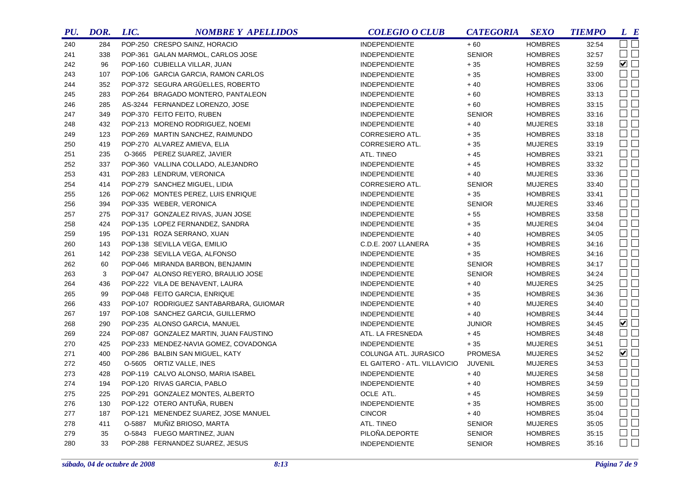| PU. | DOR. | LIC. | <b>NOMBRE Y APELLIDOS</b>               | <b>COLEGIO O CLUB</b>        | <b>CATEGORIA</b> | <b>SEXO</b>    | <b>TIEMPO</b> | L E                    |
|-----|------|------|-----------------------------------------|------------------------------|------------------|----------------|---------------|------------------------|
| 240 | 284  |      | POP-250 CRESPO SAINZ, HORACIO           | <b>INDEPENDIENTE</b>         | $+60$            | <b>HOMBRES</b> | 32:54         | $\Box$ $\Box$          |
| 241 | 338  |      | POP-361 GALAN MARMOL, CARLOS JOSE       | <b>INDEPENDIENTE</b>         | <b>SENIOR</b>    | <b>HOMBRES</b> | 32:57         | $\Box$ $\Box$          |
| 242 | 96   |      | POP-160 CUBIELLA VILLAR, JUAN           | <b>INDEPENDIENTE</b>         | $+\,35$          | <b>HOMBRES</b> | 32:59         | $\blacktriangledown$   |
| 243 | 107  |      | POP-106 GARCIA GARCIA, RAMON CARLOS     | <b>INDEPENDIENTE</b>         | $+35$            | <b>HOMBRES</b> | 33:00         | $\square$              |
| 244 | 352  |      | POP-372 SEGURA ARGÜELLES, ROBERTO       | <b>INDEPENDIENTE</b>         | $+40$            | <b>HOMBRES</b> | 33:06         | $\square$              |
| 245 | 283  |      | POP-264 BRAGADO MONTERO, PANTALEON      | <b>INDEPENDIENTE</b>         | $+60$            | <b>HOMBRES</b> | 33:13         | $\Box$                 |
| 246 | 285  |      | AS-3244 FERNANDEZ LORENZO, JOSE         | <b>INDEPENDIENTE</b>         | $+60$            | <b>HOMBRES</b> | 33:15         | $\Box$                 |
| 247 | 349  |      | POP-370 FEITO FEITO, RUBEN              | <b>INDEPENDIENTE</b>         | <b>SENIOR</b>    | <b>HOMBRES</b> | 33:16         | $\square$              |
| 248 | 432  |      | POP-213 MORENO RODRIGUEZ, NOEMI         | <b>INDEPENDIENTE</b>         | $+40$            | <b>MUJERES</b> | 33:18         | $\Box$ $\Box$          |
| 249 | 123  |      | POP-269 MARTIN SANCHEZ, RAIMUNDO        | CORRESIERO ATL.              | $+35$            | <b>HOMBRES</b> | 33:18         | $\square$ $\square$    |
| 250 | 419  |      | POP-270 ALVAREZ AMIEVA, ELIA            | CORRESIERO ATL.              | $+35$            | <b>MUJERES</b> | 33:19         | $\square$ $\square$    |
| 251 | 235  |      | O-3665 PEREZ SUAREZ, JAVIER             | ATL. TINEO                   | $+45$            | <b>HOMBRES</b> | 33:21         | $\Box$                 |
| 252 | 337  |      | POP-360 VALLINA COLLADO, ALEJANDRO      | <b>INDEPENDIENTE</b>         | $+45$            | <b>HOMBRES</b> | 33:32         | $\Box$                 |
| 253 | 431  |      | POP-283 LENDRUM, VERONICA               | <b>INDEPENDIENTE</b>         | $+40$            | <b>MUJERES</b> | 33:36         | $\square$              |
| 254 | 414  |      | POP-279 SANCHEZ MIGUEL, LIDIA           | CORRESIERO ATL.              | <b>SENIOR</b>    | <b>MUJERES</b> | 33:40         | $\square$              |
| 255 | 126  |      | POP-062 MONTES PEREZ, LUIS ENRIQUE      | <b>INDEPENDIENTE</b>         | $+35$            | <b>HOMBRES</b> | 33:41         | $\square$ $\square$    |
| 256 | 394  |      | POP-335 WEBER, VERONICA                 | <b>INDEPENDIENTE</b>         | <b>SENIOR</b>    | <b>MUJERES</b> | 33:46         | $\square$              |
| 257 | 275  |      | POP-317 GONZALEZ RIVAS, JUAN JOSE       | <b>INDEPENDIENTE</b>         | $+55$            | <b>HOMBRES</b> | 33:58         | $\Box$ $\Box$          |
| 258 | 424  |      | POP-135 LOPEZ FERNANDEZ, SANDRA         | <b>INDEPENDIENTE</b>         | $+35$            | <b>MUJERES</b> | 34:04         | $\Box$                 |
| 259 | 195  |      | POP-131 ROZA SERRANO, XUAN              | <b>INDEPENDIENTE</b>         | $+40$            | <b>HOMBRES</b> | 34:05         | $\Box$                 |
| 260 | 143  |      | POP-138 SEVILLA VEGA, EMILIO            | C.D.E. 2007 LLANERA          | $+35$            | <b>HOMBRES</b> | 34:16         | $\Box$ $\Box$          |
| 261 | 142  |      | POP-238 SEVILLA VEGA, ALFONSO           | <b>INDEPENDIENTE</b>         | $+35$            | <b>HOMBRES</b> | 34:16         | $\Box$ $\Box$          |
| 262 | 60   |      | POP-046 MIRANDA BARBON, BENJAMIN        | <b>INDEPENDIENTE</b>         | <b>SENIOR</b>    | <b>HOMBRES</b> | 34:17         | $\square$              |
| 263 | 3    |      | POP-047 ALONSO REYERO, BRAULIO JOSE     | <b>INDEPENDIENTE</b>         | <b>SENIOR</b>    | <b>HOMBRES</b> | 34:24         | $\square$              |
| 264 | 436  |      | POP-222 VILA DE BENAVENT, LAURA         | <b>INDEPENDIENTE</b>         | $+40$            | <b>MUJERES</b> | 34:25         | $\Box$ $\Box$          |
| 265 | 99   |      | POP-048 FEITO GARCIA, ENRIQUE           | <b>INDEPENDIENTE</b>         | $+35$            | <b>HOMBRES</b> | 34:36         | $\square$              |
| 266 | 433  |      | POP-107 RODRIGUEZ SANTABARBARA, GUIOMAR | <b>INDEPENDIENTE</b>         | $+40$            | <b>MUJERES</b> | 34:40         | $\square$              |
| 267 | 197  |      | POP-108 SANCHEZ GARCIA, GUILLERMO       | <b>INDEPENDIENTE</b>         | $+40$            | <b>HOMBRES</b> | 34:44         | $\square$<br>$\square$ |
| 268 | 290  |      | POP-235 ALONSO GARCIA, MANUEL           | <b>INDEPENDIENTE</b>         | <b>JUNIOR</b>    | <b>HOMBRES</b> | 34:45         | $\blacksquare$         |
| 269 | 224  |      | POP-087 GONZALEZ MARTIN, JUAN FAUSTINO  | ATL. LA FRESNEDA             | $+45$            | <b>HOMBRES</b> | 34:48         | $\square$ $\square$    |
| 270 | 425  |      | POP-233 MENDEZ-NAVIA GOMEZ, COVADONGA   | <b>INDEPENDIENTE</b>         | $+35$            | <b>MUJERES</b> | 34:51         | $\square$              |
| 271 | 400  |      | POP-286 BALBIN SAN MIGUEL, KATY         | COLUNGA ATL. JURASICO        | <b>PROMESA</b>   | <b>MUJERES</b> | 34:52         | $\blacksquare$         |
| 272 | 450  |      | O-5605 ORTIZ VALLE, INES                | EL GAITERO - ATL. VILLAVICIO | <b>JUVENIL</b>   | <b>MUJERES</b> | 34:53         | $\Box$                 |
| 273 | 428  |      | POP-119 CALVO ALONSO, MARIA ISABEL      | <b>INDEPENDIENTE</b>         | $+40$            | <b>MUJERES</b> | 34:58         | $\Box$                 |
| 274 | 194  |      | POP-120 RIVAS GARCIA, PABLO             | <b>INDEPENDIENTE</b>         | $+40$            | <b>HOMBRES</b> | 34:59         | $\Box$                 |
| 275 | 225  |      | POP-291 GONZALEZ MONTES, ALBERTO        | OCLE ATL.                    | $+45$            | <b>HOMBRES</b> | 34:59         | $\Box$                 |
| 276 | 130  |      | POP-122 OTERO ANTUÑA, RUBEN             | <b>INDEPENDIENTE</b>         | $+35$            | <b>HOMBRES</b> | 35:00         | $\Box$                 |
| 277 | 187  |      | POP-121 MENENDEZ SUAREZ, JOSE MANUEL    | <b>CINCOR</b>                | $+40$            | <b>HOMBRES</b> | 35:04         | $\Box$                 |
| 278 | 411  |      | O-5887 MUÑIZ BRIOSO, MARTA              | ATL. TINEO                   | <b>SENIOR</b>    | <b>MUJERES</b> | 35:05         | $\Box$                 |
| 279 | 35   |      | O-5843 FUEGO MARTINEZ, JUAN             | PILOÑA.DEPORTE               | <b>SENIOR</b>    | <b>HOMBRES</b> | 35:15         | $\Box$ $\Box$          |
| 280 | 33   |      | POP-288 FERNANDEZ SUAREZ, JESUS         | <b>INDEPENDIENTE</b>         | <b>SENIOR</b>    | <b>HOMBRES</b> | 35:16         | $\Box$                 |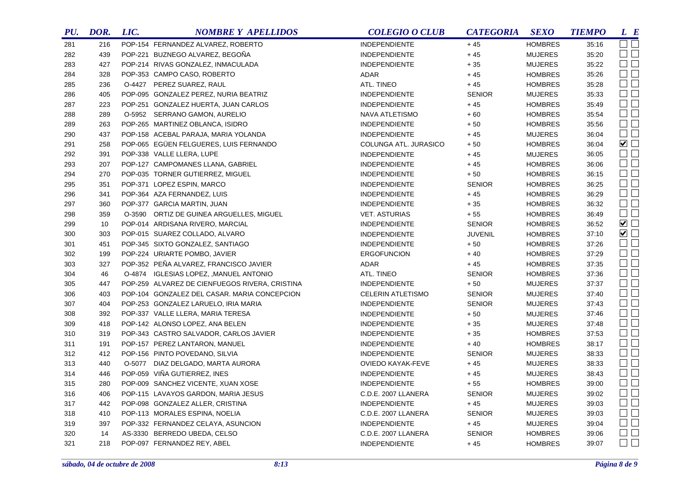| PU. | DOR. | LIC. | <b>NOMBRE Y APELLIDOS</b>                      | <b>COLEGIO O CLUB</b>    | <b>CATEGORIA</b> | <b>SEXO</b>    | <b>TIEMPO</b> | L E                         |
|-----|------|------|------------------------------------------------|--------------------------|------------------|----------------|---------------|-----------------------------|
| 281 | 216  |      | POP-154 FERNANDEZ ALVAREZ, ROBERTO             | <b>INDEPENDIENTE</b>     | $+45$            | <b>HOMBRES</b> | 35:16         | $\square$ $\square$         |
| 282 | 439  |      | POP-221 BUZNEGO ALVAREZ, BEGOÑA                | <b>INDEPENDIENTE</b>     | $+45$            | <b>MUJERES</b> | 35:20         | $\square$ $\square$         |
| 283 | 427  |      | POP-214 RIVAS GONZALEZ, INMACULADA             | <b>INDEPENDIENTE</b>     | $+35$            | <b>MUJERES</b> | 35:22         | $\Box$                      |
| 284 | 328  |      | POP-353 CAMPO CASO, ROBERTO                    | ADAR                     | $+45$            | <b>HOMBRES</b> | 35:26         | $\Box$ $\Box$               |
| 285 | 236  |      | O-4427 PEREZ SUAREZ, RAUL                      | ATL. TINEO               | $+45$            | <b>HOMBRES</b> | 35:28         | $\square$<br>$\square$      |
| 286 | 405  |      | POP-095 GONZALEZ PEREZ, NURIA BEATRIZ          | <b>INDEPENDIENTE</b>     | <b>SENIOR</b>    | <b>MUJERES</b> | 35:33         | $\Box$                      |
| 287 | 223  |      | POP-251 GONZALEZ HUERTA, JUAN CARLOS           | <b>INDEPENDIENTE</b>     | $+45$            | <b>HOMBRES</b> | 35:49         | $\Box$ $\Box$               |
| 288 | 289  |      | O-5952 SERRANO GAMON, AURELIO                  | NAVA ATLETISMO           | $+60$            | <b>HOMBRES</b> | 35:54         | $\square$ $\square$         |
| 289 | 263  |      | POP-265 MARTINEZ OBLANCA, ISIDRO               | <b>INDEPENDIENTE</b>     | $+50$            | <b>HOMBRES</b> | 35:56         | $\Box$                      |
| 290 | 437  |      | POP-158 ACEBAL PARAJA, MARIA YOLANDA           | <b>INDEPENDIENTE</b>     | $+45$            | <b>MUJERES</b> | 36:04         | $\Box$ $\Box$               |
| 291 | 258  |      | POP-065 EGÜEN FELGUERES, LUIS FERNANDO         | COLUNGA ATL. JURASICO    | $+50$            | <b>HOMBRES</b> | 36:04         | $\blacktriangledown$        |
| 292 | 391  |      | POP-338 VALLE LLERA, LUPE                      | <b>INDEPENDIENTE</b>     | $+45$            | <b>MUJERES</b> | 36:05         | $\square$<br>$\square$      |
| 293 | 207  |      | POP-127 CAMPOMANES LLANA, GABRIEL              | <b>INDEPENDIENTE</b>     | $+45$            | <b>HOMBRES</b> | 36:06         | $\square$ $\square$         |
| 294 | 270  |      | POP-035 TORNER GUTIERREZ, MIGUEL               | <b>INDEPENDIENTE</b>     | $+50$            | <b>HOMBRES</b> | 36:15         | $\square$<br>$\square$      |
| 295 | 351  |      | POP-371 LOPEZ ESPIN, MARCO                     | <b>INDEPENDIENTE</b>     | <b>SENIOR</b>    | <b>HOMBRES</b> | 36:25         | $\Box$                      |
| 296 | 341  |      | POP-364 AZA FERNANDEZ, LUIS                    | <b>INDEPENDIENTE</b>     | $+45$            | <b>HOMBRES</b> | 36:29         | $\Box$                      |
| 297 | 360  |      | POP-377 GARCIA MARTIN, JUAN                    | <b>INDEPENDIENTE</b>     | $+35$            | <b>HOMBRES</b> | 36:32         | $\Box$ $\Box$               |
| 298 | 359  |      | O-3590 ORTIZ DE GUINEA ARGUELLES, MIGUEL       | <b>VET. ASTURIAS</b>     | $+55$            | <b>HOMBRES</b> | 36:49         | $\Box$                      |
| 299 | 10   |      | POP-014 ARDISANA RIVERO, MARCIAL               | <b>INDEPENDIENTE</b>     | <b>SENIOR</b>    | <b>HOMBRES</b> | 36:52         | ☑□                          |
| 300 | 303  |      | POP-015 SUAREZ COLLADO, ALVARO                 | <b>INDEPENDIENTE</b>     | <b>JUVENIL</b>   | <b>HOMBRES</b> | 37:10         | $\blacktriangledown$ $\Box$ |
| 301 | 451  |      | POP-345 SIXTO GONZALEZ, SANTIAGO               | <b>INDEPENDIENTE</b>     | $+50$            | <b>HOMBRES</b> | 37:26         | $\Box$                      |
| 302 | 199  |      | POP-224 URIARTE POMBO, JAVIER                  | <b>ERGOFUNCION</b>       | $+40$            | <b>HOMBRES</b> | 37:29         | $\Box$                      |
| 303 | 327  |      | POP-352 PEÑA ALVAREZ, FRANCISCO JAVIER         | ADAR                     | $+45$            | <b>HOMBRES</b> | 37:35         | $\square$ $\square$         |
| 304 | 46   |      | O-4874 IGLESIAS LOPEZ, , MANUEL ANTONIO        | ATL. TINEO               | <b>SENIOR</b>    | <b>HOMBRES</b> | 37:36         | $\Box$                      |
| 305 | 447  |      | POP-259 ALVAREZ DE CIENFUEGOS RIVERA, CRISTINA | <b>INDEPENDIENTE</b>     | $+50$            | <b>MUJERES</b> | 37:37         | $\Box$                      |
| 306 | 403  |      | POP-104 GONZALEZ DEL CASAR. MARIA CONCEPCION   | <b>CELERIN ATLETISMO</b> | <b>SENIOR</b>    | <b>MUJERES</b> | 37:40         | $\square$ $\square$         |
| 307 | 404  |      | POP-253 GONZALEZ LARUELO, IRIA MARIA           | <b>INDEPENDIENTE</b>     | <b>SENIOR</b>    | <b>MUJERES</b> | 37:43         | $\Box$ $\Box$               |
| 308 | 392  |      | POP-337 VALLE LLERA, MARIA TERESA              | <b>INDEPENDIENTE</b>     | $+50$            | <b>MUJERES</b> | 37:46         | $\square$ $\square$         |
| 309 | 418  |      | POP-142 ALONSO LOPEZ, ANA BELEN                | <b>INDEPENDIENTE</b>     | $+35$            | <b>MUJERES</b> | 37:48         | $\Box$ $\Box$               |
| 310 | 319  |      | POP-343 CASTRO SALVADOR, CARLOS JAVIER         | <b>INDEPENDIENTE</b>     | $+35$            | <b>HOMBRES</b> | 37:53         | $\square$ $\square$         |
| 311 | 191  |      | POP-157 PEREZ LANTARON, MANUEL                 | <b>INDEPENDIENTE</b>     | $+40$            | <b>HOMBRES</b> | 38:17         | $\Box$ $\Box$               |
| 312 | 412  |      | POP-156 PINTO POVEDANO, SILVIA                 | <b>INDEPENDIENTE</b>     | <b>SENIOR</b>    | <b>MUJERES</b> | 38:33         | $\square$ $\square$         |
| 313 | 440  |      | O-5077 DIAZ DELGADO, MARTA AURORA              | <b>OVIEDO KAYAK-FEVE</b> | $+45$            | <b>MUJERES</b> | 38:33         | $\Box$ $\Box$               |
| 314 | 446  |      | POP-059 VIÑA GUTIERREZ, INES                   | <b>INDEPENDIENTE</b>     | $+45$            | <b>MUJERES</b> | 38:43         | $\Box$                      |
| 315 | 280  |      | POP-009 SANCHEZ VICENTE, XUAN XOSE             | <b>INDEPENDIENTE</b>     | $+55$            | <b>HOMBRES</b> | 39:00         | $\Box$ $\Box$               |
| 316 | 406  |      | POP-115 LAVAYOS GARDON, MARIA JESUS            | C.D.E. 2007 LLANERA      | <b>SENIOR</b>    | <b>MUJERES</b> | 39:02         | $\square$ $\square$         |
| 317 | 442  |      | POP-098 GONZALEZ ALLER, CRISTINA               | <b>INDEPENDIENTE</b>     | $+45$            | <b>MUJERES</b> | 39:03         | $\Box$ $\Box$               |
| 318 | 410  |      | POP-113 MORALES ESPINA, NOELIA                 | C.D.E. 2007 LLANERA      | <b>SENIOR</b>    | <b>MUJERES</b> | 39:03         | $\square$ $\square$         |
| 319 | 397  |      | POP-332 FERNANDEZ CELAYA, ASUNCION             | <b>INDEPENDIENTE</b>     | $+45$            | <b>MUJERES</b> | 39:04         | $\Box$ $\Box$               |
| 320 | 14   |      | AS-3330 BERREDO UBEDA, CELSO                   | C.D.E. 2007 LLANERA      | <b>SENIOR</b>    | <b>HOMBRES</b> | 39:06         | $\Box$ $\Box$               |
| 321 | 218  |      | POP-097 FERNANDEZ REY, ABEL                    | <b>INDEPENDIENTE</b>     | $+45$            | <b>HOMBRES</b> | 39:07         | $\Box$ $\Box$               |